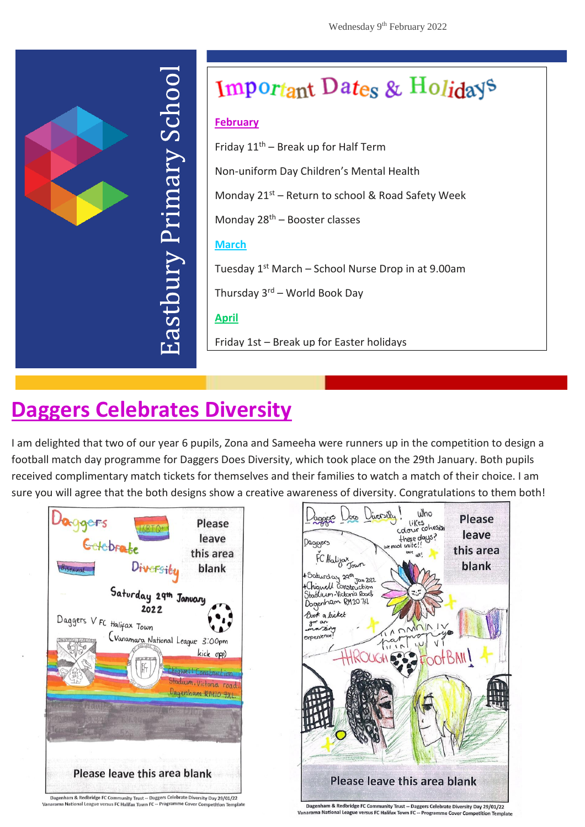

# Important Dates & Holidays

#### **February**

Friday  $11<sup>th</sup>$  – Break up for Half Term

Non-uniform Day Children's Mental Health

Monday  $21^{st}$  – Return to school & Road Safety Week

Monday  $28<sup>th</sup>$  – Booster classes

#### **March**

Tuesday  $1^{st}$  March – School Nurse Drop in at 9.00am

Thursday  $3<sup>rd</sup>$  – World Book Day

### **April**

Friday 1st – Break up for Easter holidays

## **Daggers Cele[br](http://www.eps.barking-dagenham.sch.uk/)ates Diversity**

I am delighted that two of our year 6 pupils, Zona and Sameeha were runners up in the competition to design a football match day programme for Daggers Does Diversity, which took place on the 29th January. Both pupils received complimentary match tickets for themselves and their families to watch a match of their choice. I am sure you will agree that the both designs show a creative awareness of diversity. Congratulations to them both!